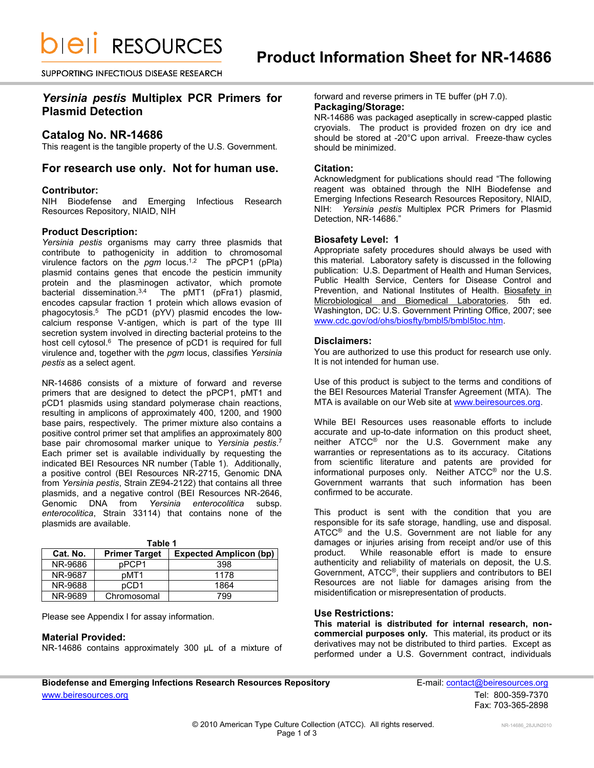*DIEII RESOURCES* 

SUPPORTING INFECTIOUS DISEASE RESEARCH

# *Yersinia pestis* **Multiplex PCR Primers for Plasmid Detection**

## **Catalog No. NR-14686**

This reagent is the tangible property of the U.S. Government.

## **For research use only. Not for human use.**

## **Contributor:**

NIH Biodefense and Emerging Infectious Research Resources Repository, NIAID, NIH

## **Product Description:**

*Yersinia pestis* organisms may carry three plasmids that contribute to pathogenicity in addition to chromosomal virulence factors on the *pgm* locus. 1,2 The pPCP1 (pPla) plasmid contains genes that encode the pesticin immunity protein and the plasminogen activator, which promote bacterial dissemination.<sup>3,4</sup> The pMT1 (pFra1) plasmid. The pMT1 (pFra1) plasmid, encodes capsular fraction 1 protein which allows evasion of phagocytosis.<sup>5</sup> The pCD1 (pYV) plasmid encodes the lowcalcium response V-antigen, which is part of the type III secretion system involved in directing bacterial proteins to the host cell cytosol.<sup>6</sup> The presence of pCD1 is required for full virulence and, together with the *pgm* locus, classifies *Yersinia pestis* as a select agent.

NR-14686 consists of a mixture of forward and reverse primers that are designed to detect the pPCP1, pMT1 and pCD1 plasmids using standard polymerase chain reactions, resulting in amplicons of approximately 400, 1200, and 1900 base pairs, respectively. The primer mixture also contains a positive control primer set that amplifies an approximately 800 base pair chromosomal marker unique to *Yersinia pestis*. 7 Each primer set is available individually by requesting the indicated BEI Resources NR number (Table 1). Additionally, a positive control (BEI Resources NR-2715, Genomic DNA from *Yersinia pestis*, Strain ZE94-2122) that contains all three plasmids, and a negative control (BEI Resources NR-2646, Genomic DNA from *Yersinia enterocolitica* subsp*. enterocolitica*, Strain 33114) that contains none of the plasmids are available.

| Table 1  |                      |                               |  |  |  |
|----------|----------------------|-------------------------------|--|--|--|
| Cat. No. | <b>Primer Target</b> | <b>Expected Amplicon (bp)</b> |  |  |  |
| NR-9686  | pPCP1                | 398                           |  |  |  |
| NR-9687  | pMT1                 | 1178                          |  |  |  |
| NR-9688  | pCD1                 | 1864                          |  |  |  |
| NR-9689  | Chromosomal          | 799                           |  |  |  |

Please see Appendix I for assay information.

### **Material Provided:**

NR-14686 contains approximately 300 µL of a mixture of

forward and reverse primers in TE buffer (pH 7.0).

# **Packaging/Storage:**

NR-14686 was packaged aseptically in screw-capped plastic cryovials. The product is provided frozen on dry ice and should be stored at -20°C upon arrival. Freeze-thaw cycles should be minimized.

## **Citation:**

Acknowledgment for publications should read "The following reagent was obtained through the NIH Biodefense and Emerging Infections Research Resources Repository, NIAID, NIH: *Yersinia pestis* Multiplex PCR Primers for Plasmid Detection, NR-14686."

### **Biosafety Level: 1**

Appropriate safety procedures should always be used with this material. Laboratory safety is discussed in the following publication: U.S. Department of Health and Human Services, Public Health Service, Centers for Disease Control and Prevention, and National Institutes of Health. Biosafety in Microbiological and Biomedical Laboratories. 5th ed. Washington, DC: U.S. Government Printing Office, 2007; see [www.cdc.gov/od/ohs/biosfty/bmbl5/bmbl5toc.htm.](http://www.cdc.gov/od/ohs/biosfty/bmbl5/bmbl5toc.htm)

## **Disclaimers:**

You are authorized to use this product for research use only. It is not intended for human use.

Use of this product is subject to the terms and conditions of the BEI Resources Material Transfer Agreement (MTA). The MTA is available on our Web site at [www.beiresources.org.](http://www.beiresources.org/)

While BEI Resources uses reasonable efforts to include accurate and up-to-date information on this product sheet, neither ATCC<sup>®</sup> nor the U.S. Government make any warranties or representations as to its accuracy. Citations from scientific literature and patents are provided for informational purposes only. Neither ATCC® nor the U.S. Government warrants that such information has been confirmed to be accurate.

This product is sent with the condition that you are responsible for its safe storage, handling, use and disposal. ATCC® and the U.S. Government are not liable for any damages or injuries arising from receipt and/or use of this product. While reasonable effort is made to ensure authenticity and reliability of materials on deposit, the U.S. Government, ATCC®, their suppliers and contributors to BEI Resources are not liable for damages arising from the misidentification or misrepresentation of products.

### **Use Restrictions:**

**This material is distributed for internal research, noncommercial purposes only.** This material, its product or its derivatives may not be distributed to third parties. Except as performed under a U.S. Government contract, individuals

**Biodefense and Emerging Infections Research Resources Repository E-mail: [contact@beiresources.org](mailto:contact@beiresources.org)** [www.beiresources.org](http://www.beiresources.org/) **Tel: 800-359-7370** 

Fax: 703-365-2898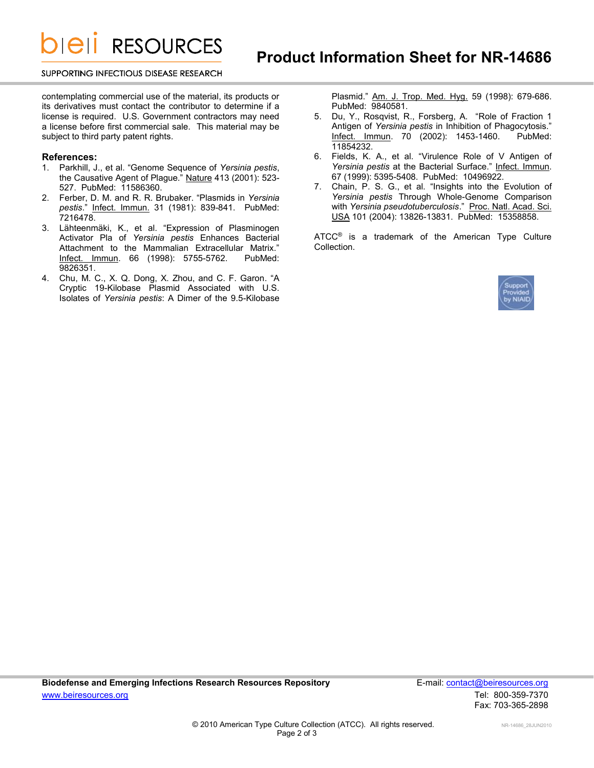**DIEII RESOURCES** 

#### SUPPORTING INFECTIOUS DISEASE RESEARCH

contemplating commercial use of the material, its products or its derivatives must contact the contributor to determine if a license is required. U.S. Government contractors may need a license before first commercial sale. This material may be subject to third party patent rights.

### **References:**

- 1. Parkhill, J., et al. "Genome Sequence of *Yersinia pestis*, the Causative Agent of Plague." Nature 413 (2001): 523- 527. PubMed: 11586360.
- 2. Ferber, D. M. and R. R. Brubaker. "Plasmids in *Yersinia pestis*." Infect. Immun. 31 (1981): 839-841. PubMed: 7216478.
- 3. Lähteenmäki, K., et al. "Expression of Plasminogen Activator Pla of *Yersinia pestis* Enhances Bacterial Attachment to the Mammalian Extracellular Matrix." Infect. Immun. 66 (1998): 5755-5762. PubMed: 9826351.
- 4. Chu, M. C., X. Q. Dong, X. Zhou, and C. F. Garon. "A Cryptic 19-Kilobase Plasmid Associated with U.S. Isolates of *Yersinia pestis*: A Dimer of the 9.5-Kilobase

Plasmid." Am. J. Trop. Med. Hyg. 59 (1998): 679-686. PubMed: 9840581.

- 5. Du, Y., Rosqvist, R., Forsberg, A. "Role of Fraction 1 Antigen of *Yersinia pestis* in Inhibition of Phagocytosis." Infect. Immun. 70 (2002): 1453-1460. PubMed: 11854232.
- 6. Fields, K. A., et al. "Virulence Role of V Antigen of *Yersinia pestis* at the Bacterial Surface." Infect. Immun. 67 (1999): 5395-5408. PubMed: 10496922.
- 7. Chain, P. S. G., et al. "Insights into the Evolution of *Yersinia pestis* Through Whole-Genome Comparison with *Yersinia pseudotuberculosis*." Proc. Natl. Acad. Sci. USA 101 (2004): 13826-13831. PubMed: 15358858.

ATCC® is a trademark of the American Type Culture Collection.